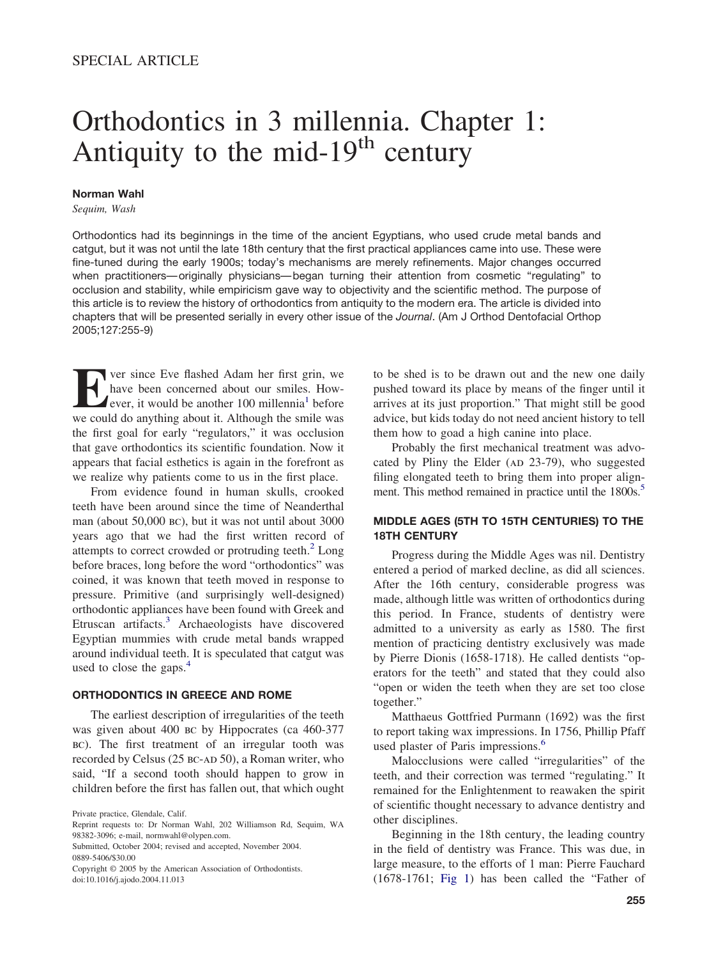# Orthodontics in 3 millennia. Chapter 1: Antiquity to the mid- $19<sup>th</sup>$  century

#### **Norman Wahl**

*Sequim, Wash*

Orthodontics had its beginnings in the time of the ancient Egyptians, who used crude metal bands and catgut, but it was not until the late 18th century that the first practical appliances came into use. These were fine-tuned during the early 1900s; today's mechanisms are merely refinements. Major changes occurred when practitioners— originally physicians— began turning their attention from cosmetic "regulating" to occlusion and stability, while empiricism gave way to objectivity and the scientific method. The purpose of this article is to review the history of orthodontics from antiquity to the modern era. The article is divided into chapters that will be presented serially in every other issue of the *Journal*. (Am J Orthod Dentofacial Orthop 2005;127:255-9)

**EVERT SHEADER SHEADER SHEADER SHEADER SHEADER SHEADER SHEADER WE could do anything about it. Although the smile was** have been concerned about our smiles. However, it would be another  $100$  millennia<sup>1</sup> before we could do anything about it. Although the smile was the first goal for early "regulators," it was occlusion that gave orthodontics its scientific foundation. Now it appears that facial esthetics is again in the forefront as we realize why patients come to us in the first place.

From evidence found in human skulls, crooked teeth have been around since the time of Neanderthal man (about 50,000 bc), but it was not until about 3000 years ago that we had the first written record of attempts to correct crowded or protruding teeth. $2$  Long before braces, long before the word "orthodontics" was coined, it was known that teeth moved in response to pressure. Primitive (and surprisingly well-designed) orthodontic appliances have been found with Greek and Etruscan artifacts.<sup>3</sup> Archaeologists have discovered Egyptian mummies with crude metal bands wrapped around individual teeth. It is speculated that catgut was used to close the gaps.<sup>4</sup>

## **ORTHODONTICS IN GREECE AND ROME**

The earliest description of irregularities of the teeth was given about 400 BC by Hippocrates (ca 460-377 bc). The first treatment of an irregular tooth was recorded by Celsus (25 BC-AD 50), a Roman writer, who said, "If a second tooth should happen to grow in children before the first has fallen out, that which ought

to be shed is to be drawn out and the new one daily pushed toward its place by means of the finger until it arrives at its just proportion." That might still be good advice, but kids today do not need ancient history to tell them how to goad a high canine into place.

Probably the first mechanical treatment was advocated by Pliny the Elder ( $AD$  23-79), who suggested filing elongated teeth to bring them into proper alignment. This method remained in practice until the 1800s.<sup>5</sup>

## **MIDDLE AGES (5TH TO 15TH CENTURIES) TO THE 18TH CENTURY**

Progress during the Middle Ages was nil. Dentistry entered a period of marked decline, as did all sciences. After the 16th century, considerable progress was made, although little was written of orthodontics during this period. In France, students of dentistry were admitted to a university as early as 1580. The first mention of practicing dentistry exclusively was made by Pierre Dionis (1658-1718). He called dentists "operators for the teeth" and stated that they could also "open or widen the teeth when they are set too close together."

Matthaeus Gottfried Purmann (1692) was the first to report taking wax impressions. In 1756, Phillip Pfaff used plaster of Paris impressions.<sup>6</sup>

Malocclusions were called "irregularities" of the teeth, and their correction was termed "regulating." It remained for the Enlightenment to reawaken the spirit of scientific thought necessary to advance dentistry and other disciplines.

Beginning in the 18th century, the leading country in the field of dentistry was France. This was due, in large measure, to the efforts of 1 man: Pierre Fauchard (1678-1761; [Fig](#page-1-0) 1) has been called the "Father of

Private practice, Glendale, Calif.

Reprint requests to: Dr Norman Wahl, 202 Williamson Rd, Sequim, WA 98382-3096; e-mail, normwahl@olypen.com.

Submitted, October 2004; revised and accepted, November 2004. 0889-5406/\$30.00

Copyright © 2005 by the American Association of Orthodontists. doi:10.1016/j.ajodo.2004.11.013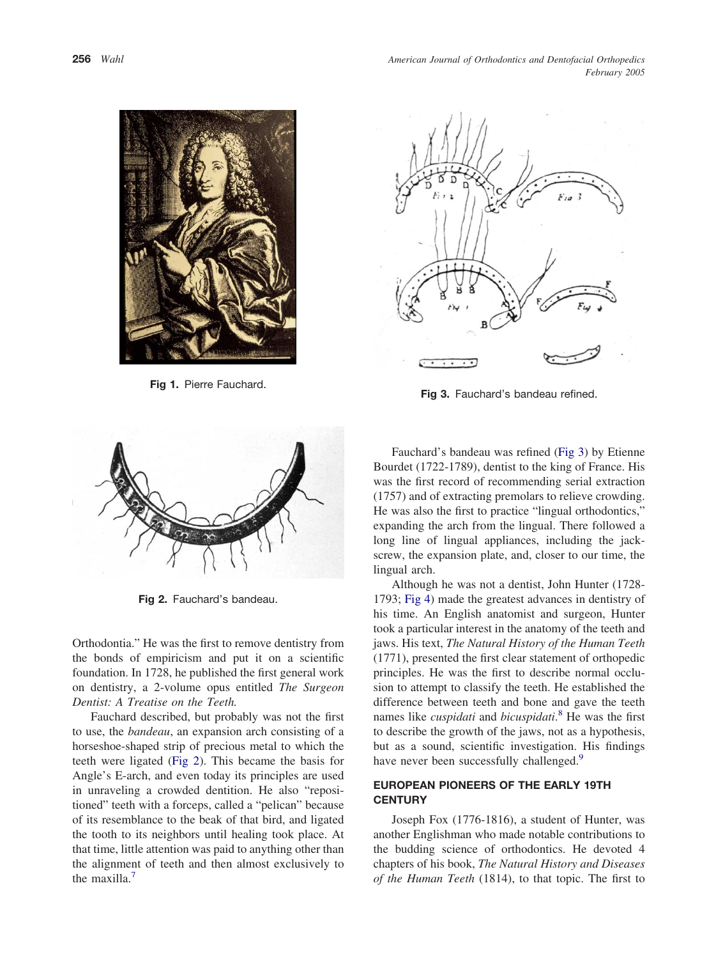*American Journal of Orthodontics and Dentofacial Orthopedics February 2005*

<span id="page-1-0"></span>

**Fig 1.** Pierre Fauchard.



**Fig 2.** Fauchard's bandeau.

Orthodontia." He was the first to remove dentistry from the bonds of empiricism and put it on a scientific foundation. In 1728, he published the first general work on dentistry, a 2-volume opus entitled *The Surgeon Dentist: A Treatise on the Teeth.*

Fauchard described, but probably was not the first to use, the *bandeau*, an expansion arch consisting of a horseshoe-shaped strip of precious metal to which the teeth were ligated (Fig 2). This became the basis for Angle's E-arch, and even today its principles are used in unraveling a crowded dentition. He also "repositioned" teeth with a forceps, called a "pelican" because of its resemblance to the beak of that bird, and ligated the tooth to its neighbors until healing took place. At that time, little attention was paid to anything other than the alignment of teeth and then almost exclusively to the maxilla.<sup>7</sup>



**Fig 3.** Fauchard's bandeau refined.

Fauchard's bandeau was refined (Fig 3) by Etienne Bourdet (1722-1789), dentist to the king of France. His was the first record of recommending serial extraction (1757) and of extracting premolars to relieve crowding. He was also the first to practice "lingual orthodontics," expanding the arch from the lingual. There followed a long line of lingual appliances, including the jackscrew, the expansion plate, and, closer to our time, the lingual arch.

Although he was not a dentist, John Hunter (1728- 1793; [Fig](#page-2-0) 4) made the greatest advances in dentistry of his time. An English anatomist and surgeon, Hunter took a particular interest in the anatomy of the teeth and jaws. His text, *The Natural History of the Human Teeth* (1771), presented the first clear statement of orthopedic principles. He was the first to describe normal occlusion to attempt to classify the teeth. He established the difference between teeth and bone and gave the teeth names like *cuspidati* and *bicuspidati*. [8](#page-4-0) He was the first to describe the growth of the jaws, not as a hypothesis, but as a sound, scientific investigation. His findings have never been successfully challenged.<sup>9</sup>

# **EUROPEAN PIONEERS OF THE EARLY 19TH CENTURY**

Joseph Fox (1776-1816), a student of Hunter, was another Englishman who made notable contributions to the budding science of orthodontics. He devoted 4 chapters of his book, *The Natural History and Diseases of the Human Teeth* (1814), to that topic. The first to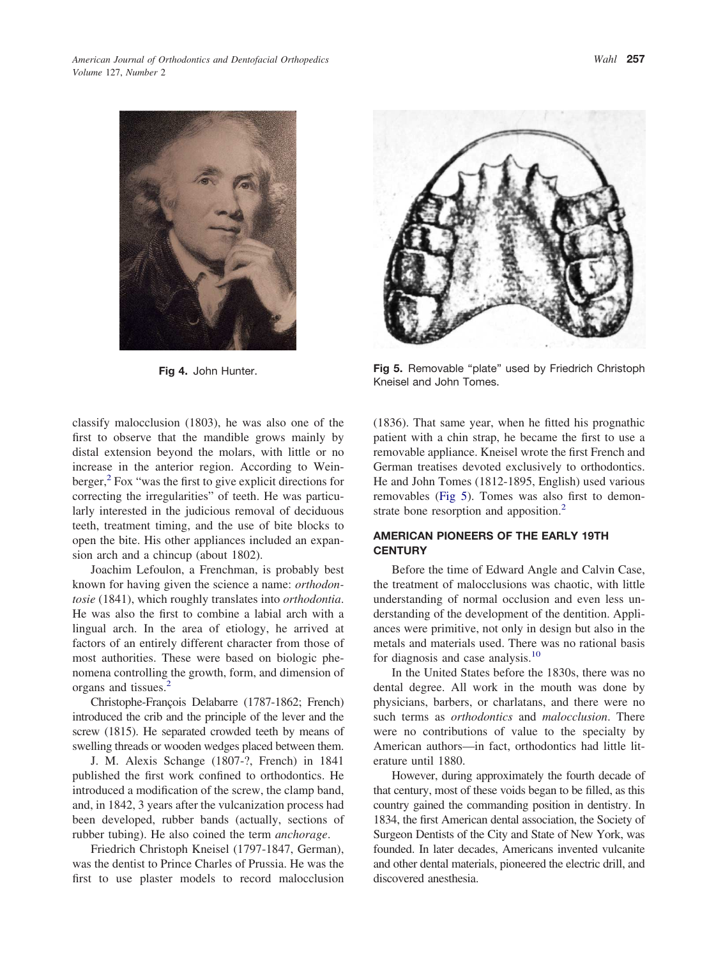<span id="page-2-0"></span>

classify malocclusion (1803), he was also one of the first to observe that the mandible grows mainly by distal extension beyond the molars, with little or no increase in the anterior region. According to Weinberger, $2$  Fox "was the first to give explicit directions for correcting the irregularities" of teeth. He was particularly interested in the judicious removal of deciduous teeth, treatment timing, and the use of bite blocks to open the bite. His other appliances included an expansion arch and a chincup (about 1802).

Joachim Lefoulon, a Frenchman, is probably best known for having given the science a name: *orthodontosie* (1841), which roughly translates into *orthodontia*. He was also the first to combine a labial arch with a lingual arch. In the area of etiology, he arrived at factors of an entirely different character from those of most authorities. These were based on biologic phenomena controlling the growth, form, and dimension of organs and tissues[.2](#page-4-0)

Christophe-François Delabarre (1787-1862; French) introduced the crib and the principle of the lever and the screw (1815). He separated crowded teeth by means of swelling threads or wooden wedges placed between them.

J. M. Alexis Schange (1807-?, French) in 1841 published the first work confined to orthodontics. He introduced a modification of the screw, the clamp band, and, in 1842, 3 years after the vulcanization process had been developed, rubber bands (actually, sections of rubber tubing). He also coined the term *anchorage*.

Friedrich Christoph Kneisel (1797-1847, German), was the dentist to Prince Charles of Prussia. He was the first to use plaster models to record malocclusion



**Fig 4.** John Hunter. **Fig 5.** Removable "plate" used by Friedrich Christoph Kneisel and John Tomes.

(1836). That same year, when he fitted his prognathic patient with a chin strap, he became the first to use a removable appliance. Kneisel wrote the first French and German treatises devoted exclusively to orthodontics. He and John Tomes (1812-1895, English) used various removables (Fig 5). Tomes was also first to demonstrate bone resorption and apposition.<sup>2</sup>

# **AMERICAN PIONEERS OF THE EARLY 19TH CENTURY**

Before the time of Edward Angle and Calvin Case, the treatment of malocclusions was chaotic, with little understanding of normal occlusion and even less understanding of the development of the dentition. Appliances were primitive, not only in design but also in the metals and materials used. There was no rational basis for diagnosis and case analysis[.10](#page-4-0)

In the United States before the 1830s, there was no dental degree. All work in the mouth was done by physicians, barbers, or charlatans, and there were no such terms as *orthodontics* and *malocclusion*. There were no contributions of value to the specialty by American authors—in fact, orthodontics had little literature until 1880.

However, during approximately the fourth decade of that century, most of these voids began to be filled, as this country gained the commanding position in dentistry. In 1834, the first American dental association, the Society of Surgeon Dentists of the City and State of New York, was founded. In later decades, Americans invented vulcanite and other dental materials, pioneered the electric drill, and discovered anesthesia.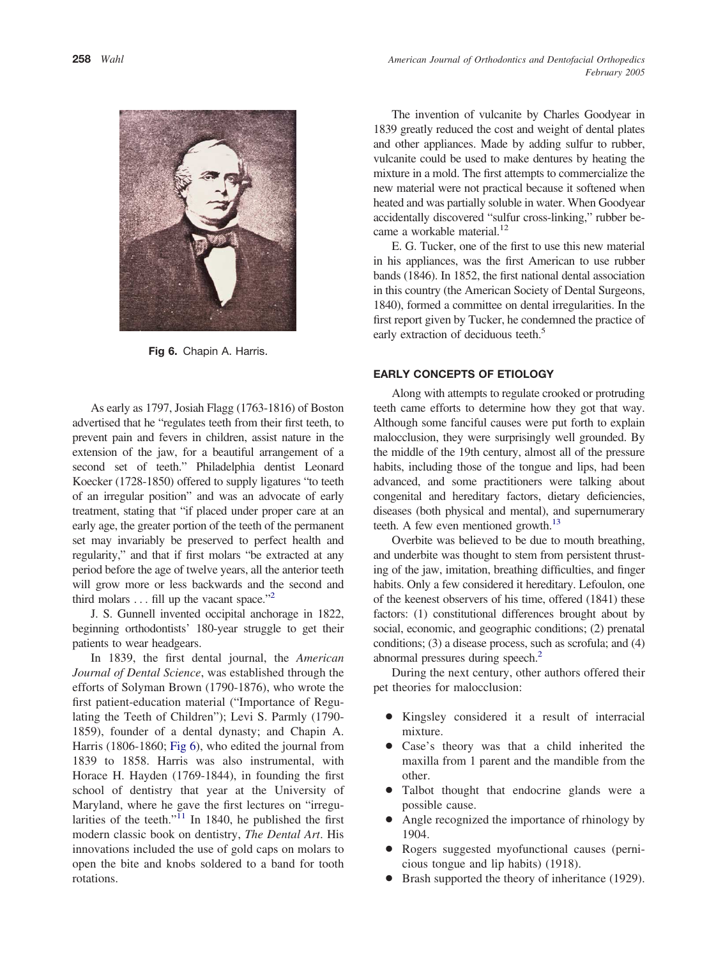

**Fig 6.** Chapin A. Harris.

As early as 1797, Josiah Flagg (1763-1816) of Boston advertised that he "regulates teeth from their first teeth, to prevent pain and fevers in children, assist nature in the extension of the jaw, for a beautiful arrangement of a second set of teeth." Philadelphia dentist Leonard Koecker (1728-1850) offered to supply ligatures "to teeth of an irregular position" and was an advocate of early treatment, stating that "if placed under proper care at an early age, the greater portion of the teeth of the permanent set may invariably be preserved to perfect health and regularity," and that if first molars "be extracted at any period before the age of twelve years, all the anterior teeth will grow more or less backwards and the second and third molars  $\dots$  fill up the vacant space."<sup>2</sup>

J. S. Gunnell invented occipital anchorage in 1822, beginning orthodontists' 180-year struggle to get their patients to wear headgears.

In 1839, the first dental journal, the *American Journal of Dental Science*, was established through the efforts of Solyman Brown (1790-1876), who wrote the first patient-education material ("Importance of Regulating the Teeth of Children"); Levi S. Parmly (1790- 1859), founder of a dental dynasty; and Chapin A. Harris (1806-1860; Fig 6), who edited the journal from 1839 to 1858. Harris was also instrumental, with Horace H. Hayden (1769-1844), in founding the first school of dentistry that year at the University of Maryland, where he gave the first lectures on "irregularities of the teeth."<sup>11</sup> In 1840, he published the first modern classic book on dentistry, *The Dental Art*. His innovations included the use of gold caps on molars to open the bite and knobs soldered to a band for tooth rotations.

The invention of vulcanite by Charles Goodyear in 1839 greatly reduced the cost and weight of dental plates and other appliances. Made by adding sulfur to rubber, vulcanite could be used to make dentures by heating the mixture in a mold. The first attempts to commercialize the new material were not practical because it softened when heated and was partially soluble in water. When Goodyear accidentally discovered "sulfur cross-linking," rubber became a workable material.<sup>12</sup>

E. G. Tucker, one of the first to use this new material in his appliances, was the first American to use rubber bands (1846). In 1852, the first national dental association in this country (the American Society of Dental Surgeons, 1840), formed a committee on dental irregularities. In the first report given by Tucker, he condemned the practice of early extraction of deciduous teeth.<sup>5</sup>

### **EARLY CONCEPTS OF ETIOLOGY**

Along with attempts to regulate crooked or protruding teeth came efforts to determine how they got that way. Although some fanciful causes were put forth to explain malocclusion, they were surprisingly well grounded. By the middle of the 19th century, almost all of the pressure habits, including those of the tongue and lips, had been advanced, and some practitioners were talking about congenital and hereditary factors, dietary deficiencies, diseases (both physical and mental), and supernumerary teeth. A few even mentioned growth.<sup>13</sup>

Overbite was believed to be due to mouth breathing, and underbite was thought to stem from persistent thrusting of the jaw, imitation, breathing difficulties, and finger habits. Only a few considered it hereditary. Lefoulon, one of the keenest observers of his time, offered (1841) these factors: (1) constitutional differences brought about by social, economic, and geographic conditions; (2) prenatal conditions; (3) a disease process, such as scrofula; and (4) abnormal pressures during speech.<sup>2</sup>

During the next century, other authors offered their pet theories for malocclusion:

- Kingsley considered it a result of interracial mixture.
- Case's theory was that a child inherited the maxilla from 1 parent and the mandible from the other.
- Talbot thought that endocrine glands were a possible cause.
- Angle recognized the importance of rhinology by 1904.
- Rogers suggested myofunctional causes (pernicious tongue and lip habits) (1918).
- Brash supported the theory of inheritance (1929).